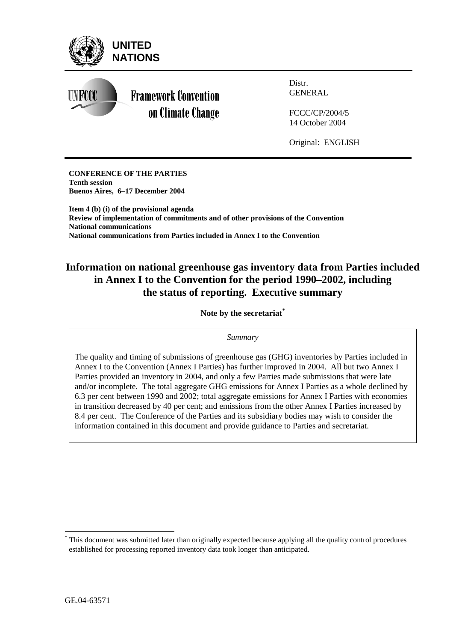

LN FOOC



Distr. GENERAL

FCCC/CP/2004/5 14 October 2004

Original: ENGLISH

**CONFERENCE OF THE PARTIES Tenth session Buenos Aires, 6–17 December 2004** 

**Item 4 (b) (i) of the provisional agenda Review of implementation of commitments and of other provisions of the Convention National communications National communications from Parties included in Annex I to the Convention** 

# **Information on national greenhouse gas inventory data from Parties included in Annex I to the Convention for the period 1990–2002, including the status of reporting. Executive summary**

**Note by the secretariat\***

*Summary* 

The quality and timing of submissions of greenhouse gas (GHG) inventories by Parties included in Annex I to the Convention (Annex I Parties) has further improved in 2004. All but two Annex I Parties provided an inventory in 2004, and only a few Parties made submissions that were late and/or incomplete. The total aggregate GHG emissions for Annex I Parties as a whole declined by 6.3 per cent between 1990 and 2002; total aggregate emissions for Annex I Parties with economies in transition decreased by 40 per cent; and emissions from the other Annex I Parties increased by 8.4 per cent. The Conference of the Parties and its subsidiary bodies may wish to consider the information contained in this document and provide guidance to Parties and secretariat.

 $\overline{a}$ 

<sup>\*</sup> This document was submitted later than originally expected because applying all the quality control procedures established for processing reported inventory data took longer than anticipated.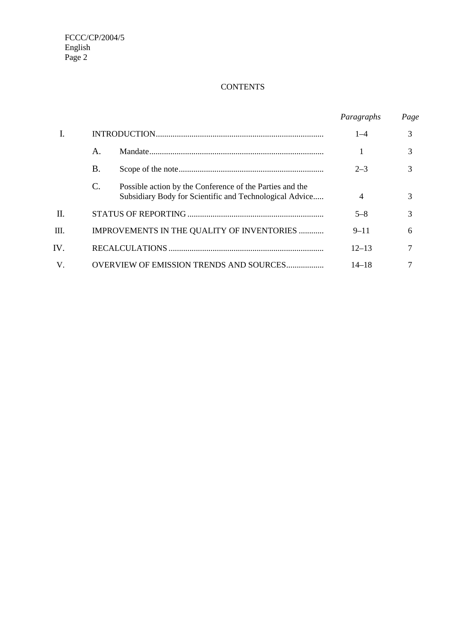## **CONTENTS**

|         |           |                                                                                                                     | Paragraphs     | Page |
|---------|-----------|---------------------------------------------------------------------------------------------------------------------|----------------|------|
|         |           |                                                                                                                     | $1 - 4$        | 3    |
|         | Α.        |                                                                                                                     |                | 3    |
|         | <b>B.</b> |                                                                                                                     | $2 - 3$        | 3    |
|         | C.        | Possible action by the Conference of the Parties and the<br>Subsidiary Body for Scientific and Technological Advice | $\overline{4}$ | 3    |
| П.      |           |                                                                                                                     | $5 - 8$        | 3    |
| Ш.      |           | IMPROVEMENTS IN THE QUALITY OF INVENTORIES                                                                          | $9 - 11$       | 6    |
| IV.     |           |                                                                                                                     | $12 - 13$      | 7    |
| $V_{.}$ |           | <b>OVERVIEW OF EMISSION TRENDS AND SOURCES</b>                                                                      | 14–18          |      |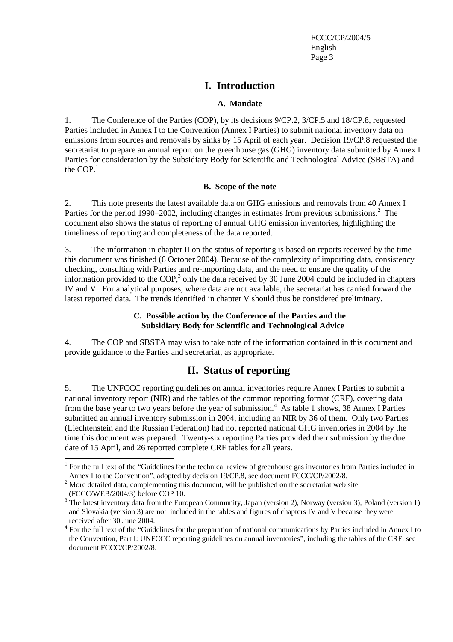## **I. Introduction**

### **A. Mandate**

1. The Conference of the Parties (COP), by its decisions 9/CP.2, 3/CP.5 and 18/CP.8, requested Parties included in Annex I to the Convention (Annex I Parties) to submit national inventory data on emissions from sources and removals by sinks by 15 April of each year. Decision 19/CP.8 requested the secretariat to prepare an annual report on the greenhouse gas (GHG) inventory data submitted by Annex I Parties for consideration by the Subsidiary Body for Scientific and Technological Advice (SBSTA) and the  $COP<sup>1</sup>$ 

## **B. Scope of the note**

2. This note presents the latest available data on GHG emissions and removals from 40 Annex I Parties for the period 1990–2002, including changes in estimates from previous submissions.<sup>2</sup> The document also shows the status of reporting of annual GHG emission inventories, highlighting the timeliness of reporting and completeness of the data reported.

3. The information in chapter II on the status of reporting is based on reports received by the time this document was finished (6 October 2004). Because of the complexity of importing data, consistency checking, consulting with Parties and re-importing data, and the need to ensure the quality of the information provided to the COP,<sup>3</sup> only the data received by 30 June 2004 could be included in chapters IV and V. For analytical purposes, where data are not available, the secretariat has carried forward the latest reported data. The trends identified in chapter V should thus be considered preliminary.

## **C. Possible action by the Conference of the Parties and the Subsidiary Body for Scientific and Technological Advice**

4. The COP and SBSTA may wish to take note of the information contained in this document and provide guidance to the Parties and secretariat, as appropriate.

## **II. Status of reporting**

5. The UNFCCC reporting guidelines on annual inventories require Annex I Parties to submit a national inventory report (NIR) and the tables of the common reporting format (CRF), covering data from the base year to two years before the year of submission.<sup>4</sup> As table 1 shows, 38 Annex I Parties submitted an annual inventory submission in 2004, including an NIR by 36 of them. Only two Parties (Liechtenstein and the Russian Federation) had not reported national GHG inventories in 2004 by the time this document was prepared. Twenty-six reporting Parties provided their submission by the due date of 15 April, and 26 reported complete CRF tables for all years.

 $\overline{a}$ 

 $1$  For the full text of the "Guidelines for the technical review of greenhouse gas inventories from Parties included in Annex I to the Convention", adopted by decision 19/CP.8, see document FCCC/CP/2002/8.

 $2^{2}$  More detailed data, complementing this document, will be published on the secretariat web site (FCCC/WEB/2004/3) before COP 10.

 $3$  The latest inventory data from the European Community, Japan (version 2), Norway (version 3), Poland (version 1) and Slovakia (version 3) are not included in the tables and figures of chapters IV and V because they were received after 30 June 2004.

<sup>&</sup>lt;sup>4</sup> For the full text of the "Guidelines for the preparation of national communications by Parties included in Annex I to the Convention, Part I: UNFCCC reporting guidelines on annual inventories", including the tables of the CRF, see document FCCC/CP/2002/8.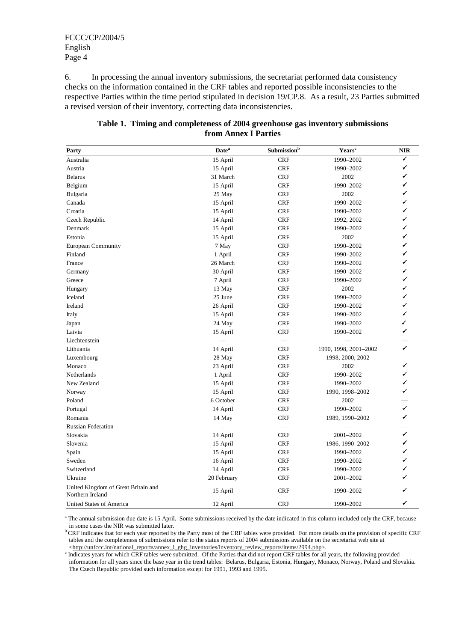6. In processing the annual inventory submissions, the secretariat performed data consistency checks on the information contained in the CRF tables and reported possible inconsistencies to the respective Parties within the time period stipulated in decision 19/CP.8. As a result, 23 Parties submitted a revised version of their inventory, correcting data inconsistencies.

| Table 1. Timing and completeness of 2004 greenhouse gas inventory submissions |
|-------------------------------------------------------------------------------|
| from Annex I Parties                                                          |
|                                                                               |

| Party                                                   | <b>Date</b> <sup>a</sup> | $\mathbf{Submission}^\mathbf{b}$ | Years <sup>c</sup>    | <b>NIR</b>   |
|---------------------------------------------------------|--------------------------|----------------------------------|-----------------------|--------------|
| Australia                                               | 15 April                 | <b>CRF</b>                       | 1990-2002             |              |
| Austria                                                 | 15 April                 | <b>CRF</b>                       | 1990-2002             | ✓            |
| <b>Belarus</b>                                          | 31 March                 | <b>CRF</b>                       | 2002                  | ✓            |
| Belgium                                                 | 15 April                 | <b>CRF</b>                       | 1990-2002             | ✓            |
| Bulgaria                                                | 25 May                   | <b>CRF</b>                       | 2002                  | ✓            |
| Canada                                                  | 15 April                 | <b>CRF</b>                       | 1990-2002             | ✓            |
| Croatia                                                 | 15 April                 | <b>CRF</b>                       | 1990-2002             | ✓            |
| Czech Republic                                          | 14 April                 | <b>CRF</b>                       | 1992, 2002            | ✓            |
| Denmark                                                 | 15 April                 | <b>CRF</b>                       | 1990-2002             | ✓            |
| Estonia                                                 | 15 April                 | <b>CRF</b>                       | 2002                  | ✓            |
| <b>European Community</b>                               | 7 May                    | <b>CRF</b>                       | 1990-2002             | ✓            |
| Finland                                                 | 1 April                  | <b>CRF</b>                       | 1990-2002             | ✓            |
| France                                                  | 26 March                 | <b>CRF</b>                       | 1990-2002             | ✓            |
| Germany                                                 | 30 April                 | <b>CRF</b>                       | 1990–2002             | ✓            |
| Greece                                                  | 7 April                  | <b>CRF</b>                       | 1990-2002             | ✓            |
| Hungary                                                 | 13 May                   | <b>CRF</b>                       | 2002                  | ✓            |
| Iceland                                                 | 25 June                  | <b>CRF</b>                       | 1990-2002             | ✓            |
| Ireland                                                 | 26 April                 | <b>CRF</b>                       | 1990-2002             | ✓            |
| Italy                                                   | 15 April                 | <b>CRF</b>                       | 1990-2002             | ✓            |
| Japan                                                   | 24 May                   | <b>CRF</b>                       | 1990-2002             | ✓            |
| Latvia                                                  | 15 April                 | <b>CRF</b>                       | 1990-2002             | ✓            |
| Liechtenstein                                           |                          |                                  |                       |              |
| Lithuania                                               | 14 April                 | <b>CRF</b>                       | 1990, 1998, 2001-2002 | $\checkmark$ |
| Luxembourg                                              | 28 May                   | <b>CRF</b>                       | 1998, 2000, 2002      |              |
| Monaco                                                  | 23 April                 | <b>CRF</b>                       | 2002                  | ✓            |
| Netherlands                                             | 1 April                  | <b>CRF</b>                       | 1990-2002             | ✓            |
| New Zealand                                             | 15 April                 | <b>CRF</b>                       | 1990-2002             | ✓            |
| Norway                                                  | 15 April                 | <b>CRF</b>                       | 1990, 1998-2002       | ✓            |
| Poland                                                  | 6 October                | <b>CRF</b>                       | 2002                  |              |
| Portugal                                                | 14 April                 | <b>CRF</b>                       | 1990-2002             | $\checkmark$ |
| Romania                                                 | 14 May                   | <b>CRF</b>                       | 1989, 1990-2002       | ✓            |
| <b>Russian Federation</b>                               |                          | $\overline{\phantom{0}}$         |                       |              |
| Slovakia                                                | 14 April                 | <b>CRF</b>                       | 2001-2002             | $\checkmark$ |
| Slovenia                                                | 15 April                 | <b>CRF</b>                       | 1986, 1990-2002       | ✓            |
| Spain                                                   | 15 April                 | <b>CRF</b>                       | 1990-2002             | ✓            |
| Sweden                                                  | 16 April                 | <b>CRF</b>                       | 1990-2002             | ✓            |
| Switzerland                                             | 14 April                 | <b>CRF</b>                       | 1990-2002             | ✓            |
| Ukraine                                                 | 20 February              | <b>CRF</b>                       | 2001-2002             |              |
| United Kingdom of Great Britain and<br>Northern Ireland | 15 April                 | <b>CRF</b>                       | 1990-2002             |              |
| United States of America                                | 12 April                 | <b>CRF</b>                       | 1990-2002             | ✓            |

<sup>a</sup> The annual submission due date is 15 April. Some submissions received by the date indicated in this column included only the CRF, because in some cases the NIR was submitted later.

b CRF indicates that for each year reported by the Party most of the CRF tables were provided. For more details on the provision of specific CRF tables and the completeness of submissions refer to the status reports of 2004 submissions available on the secretariat web site at  $\langle \frac{\text{http://unfcc.in/national}pports/annex}{\text{pt}} \rangle$  inventories/inventory\_review\_reports/items/2994.php>.

<sup>c</sup> Indicates years for which CRF tables were submitted. Of the Parties that did not report CRF tables for all years, the following provided information for all years since the base year in the trend tables: Belarus, Bulgaria, Estonia, Hungary, Monaco, Norway, Poland and Slovakia. The Czech Republic provided such information except for 1991, 1993 and 1995.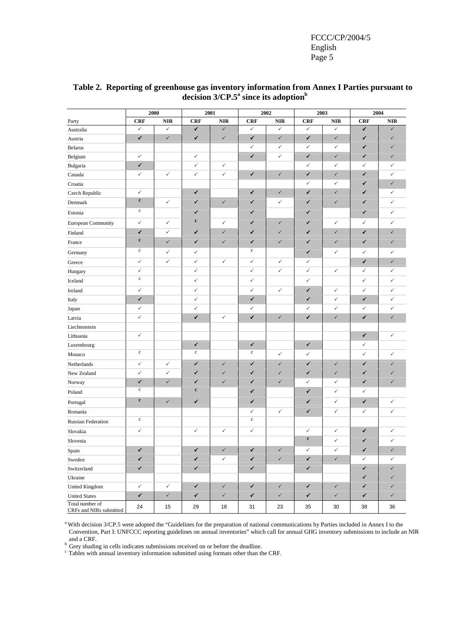|                                            |              | 2000         |              | 2001         |              | 2002         | 2003         |              | 2004         |              |
|--------------------------------------------|--------------|--------------|--------------|--------------|--------------|--------------|--------------|--------------|--------------|--------------|
| Party                                      | <b>CRF</b>   | <b>NIR</b>   | <b>CRF</b>   | <b>NIR</b>   | <b>CRF</b>   | <b>NIR</b>   | <b>CRF</b>   | <b>NIR</b>   | <b>CRF</b>   | <b>NIR</b>   |
| Australia                                  | $\checkmark$ | $\checkmark$ | ✓            | $\checkmark$ | $\checkmark$ | $\checkmark$ | $\checkmark$ | $\checkmark$ | ✓            | ✓            |
| Austria                                    | $\checkmark$ | $\checkmark$ | ✓            | $\checkmark$ | $\checkmark$ | $\checkmark$ | ✓            | $\checkmark$ | ✓            | ✓            |
| <b>Belarus</b>                             |              |              |              |              | $\checkmark$ | $\checkmark$ | $\checkmark$ | $\checkmark$ | ✓            | ✓            |
| Belgium                                    | ✓            |              | $\checkmark$ |              | ✓            | $\checkmark$ | $\checkmark$ | $\checkmark$ | ✓            | $\checkmark$ |
| Bulgaria                                   | ✓            |              | $\checkmark$ | $\checkmark$ |              |              | $\checkmark$ | $\checkmark$ | $\checkmark$ | $\checkmark$ |
| Canada                                     | ✓            | ✓            | $\checkmark$ | $\checkmark$ | $\checkmark$ | $\checkmark$ | $\checkmark$ | $\checkmark$ | ✓            | $\checkmark$ |
| Croatia                                    |              |              |              |              |              |              | $\checkmark$ | $\checkmark$ | ✓            | $\checkmark$ |
| Czech Republic                             | ✓            |              | ✓            |              | ✓            | $\checkmark$ | ✓            | $\checkmark$ | ✓            | $\checkmark$ |
| Denmark                                    | $\mathbf c$  | ✓            | ✓            | $\checkmark$ | ✓            | $\checkmark$ | ✓            | $\checkmark$ | ✓            | ✓            |
| Estonia                                    | $\mathbf c$  |              | $\checkmark$ |              | ✓            |              | ✓            |              | ✓            | $\checkmark$ |
| European Community                         | ✓            | ✓            | $\mathbf c$  | $\checkmark$ | ✓            | $\checkmark$ | ✓            | $\checkmark$ | $\checkmark$ | ✓            |
| Finland                                    | ✓            | ✓            | ✓            | $\checkmark$ | ✓            | $\checkmark$ | ✓            | $\checkmark$ | ✓            | $\checkmark$ |
| France                                     | $\mathbf c$  | $\checkmark$ | ✓            | $\checkmark$ | ✓            | $\checkmark$ | ✓            | $\checkmark$ | ✓            | $\checkmark$ |
| Germany                                    | $\mathbf c$  | $\checkmark$ | $\checkmark$ |              | $\mathbf c$  |              | $\checkmark$ | $\checkmark$ | $\checkmark$ | $\checkmark$ |
| Greece                                     | $\checkmark$ | $\checkmark$ | $\checkmark$ | $\checkmark$ | $\checkmark$ | $\checkmark$ | ✓            |              | ✓            | $\checkmark$ |
| Hungary                                    | ✓            |              | $\checkmark$ |              | $\checkmark$ | $\checkmark$ | $\checkmark$ | $\checkmark$ | $\checkmark$ | $\checkmark$ |
| Iceland                                    | $\mathbf c$  |              | $\checkmark$ |              | $\checkmark$ |              | $\checkmark$ |              | $\checkmark$ | $\checkmark$ |
| Ireland                                    | ✓            |              | $\checkmark$ |              | $\checkmark$ | $\checkmark$ | ✓            | $\checkmark$ | $\checkmark$ | $\checkmark$ |
| Italy                                      | ✓            |              | $\checkmark$ |              | ✓            |              | ✓            | $\checkmark$ | ✓            | $\checkmark$ |
| Japan                                      | ✓            |              | $\checkmark$ |              | ✓            |              | $\checkmark$ | $\checkmark$ | $\checkmark$ | $\checkmark$ |
| Latvia                                     | ✓            |              | ✓            | ✓            | $\checkmark$ | $\checkmark$ | ✓            | $\checkmark$ | ✓            | $\checkmark$ |
| Liechtenstein                              |              |              |              |              |              |              |              |              |              |              |
| Lithuania                                  | ✓            |              |              |              |              |              |              |              | $\checkmark$ | ✓            |
| Luxembourg                                 |              |              | $\checkmark$ |              | $\checkmark$ |              | $\checkmark$ |              | ✓            |              |
| Monaco                                     | $\mathbf c$  |              | $\mathbf c$  |              | $\mathbf c$  | $\checkmark$ | $\checkmark$ |              | $\checkmark$ | ✓            |
| Netherlands                                | ✓            | $\checkmark$ | $\checkmark$ | $\checkmark$ | ✓            | $\checkmark$ | ✓            | $\checkmark$ | ✓            | $\checkmark$ |
| New Zealand                                | ✓            | ✓            | ✓            | $\checkmark$ | ✓            | ✓            | ✓            | $\checkmark$ | ✓            | ✓            |
| Norway                                     | ✓            | $\checkmark$ | ✓            | $\checkmark$ | ✓            | ✓            | $\checkmark$ | $\checkmark$ | ✓            | $\checkmark$ |
| Poland                                     | $\mathbf c$  |              | $\mathbf c$  |              | ✓            |              | ✓            | $\checkmark$ | $\checkmark$ |              |
| Portugal                                   | $\mathbf c$  | $\checkmark$ | ✓            |              | ✓            |              | ✓            | $\checkmark$ | ✓            | $\checkmark$ |
| Romania                                    |              |              |              |              | $\checkmark$ | $\checkmark$ | ✓            | $\checkmark$ | $\checkmark$ | ✓            |
| <b>Russian Federation</b>                  | $\mathbf c$  |              |              |              | $\mathbf c$  |              |              |              |              |              |
| Slovakia                                   | ✓            |              | $\checkmark$ | $\checkmark$ | $\checkmark$ |              | $\checkmark$ | $\checkmark$ | ✓            | $\checkmark$ |
| Slovenia                                   |              |              |              |              |              |              | $\mathbf c$  | $\checkmark$ | ✓            | $\checkmark$ |
| Spain                                      | ✓            |              |              | ✓            | ✓            | $\checkmark$ | ✓            | $\checkmark$ | ✓            | $\checkmark$ |
| Sweden                                     | ✓            |              | ✓            | $\checkmark$ | ✓            | $\checkmark$ | ✓            | $\checkmark$ | $\checkmark$ | $\checkmark$ |
| Switzerland                                | ✓            |              | $\checkmark$ |              | ✓            |              | ✓            |              | $\checkmark$ | $\checkmark$ |
| Ukraine                                    |              |              |              |              |              |              |              |              | ✓            | $\checkmark$ |
| United Kingdom                             | ✓            | $\checkmark$ | $\checkmark$ | $\checkmark$ | ✓            | $\checkmark$ | $\checkmark$ | $\checkmark$ | ✓            | ✓            |
| <b>United States</b>                       | ✓            | $\checkmark$ | ✓            | $\checkmark$ | ✓            | $\checkmark$ | ✓            | $\checkmark$ | ✓            | $\checkmark$ |
| Total number of<br>CRFs and NIRs submitted | 24           | 15           | 29           | 18           | 31           | 23           | 35           | 30           | 38           | 36           |

### **Table 2. Reporting of greenhouse gas inventory information from Annex I Parties pursuant to decision 3/CP.5<sup>a</sup> since its adoption<sup>b</sup>**

<sup>a</sup> With decision 3/CP.5 were adopted the "Guidelines for the preparation of national communications by Parties included in Annex I to the Convention, Part I: UNFCCC reporting guidelines on annual inventories" which call for annual GHG inventory submissions to include an NIR and a CRF.

b Grey shading in cells indicates submissions received on or before the deadline.

c Tables with annual inventory information submitted using formats other than the CRF.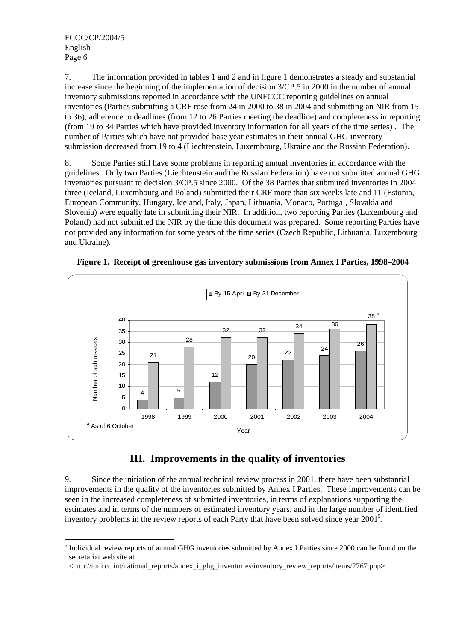7. The information provided in tables 1 and 2 and in figure 1 demonstrates a steady and substantial increase since the beginning of the implementation of decision 3/CP.5 in 2000 in the number of annual inventory submissions reported in accordance with the UNFCCC reporting guidelines on annual inventories (Parties submitting a CRF rose from 24 in 2000 to 38 in 2004 and submitting an NIR from 15 to 36), adherence to deadlines (from 12 to 26 Parties meeting the deadline) and completeness in reporting (from 19 to 34 Parties which have provided inventory information for all years of the time series) . The number of Parties which have not provided base year estimates in their annual GHG inventory submission decreased from 19 to 4 (Liechtenstein, Luxembourg, Ukraine and the Russian Federation).

8. Some Parties still have some problems in reporting annual inventories in accordance with the guidelines. Only two Parties (Liechtenstein and the Russian Federation) have not submitted annual GHG inventories pursuant to decision 3/CP.5 since 2000. Of the 38 Parties that submitted inventories in 2004 three (Iceland, Luxembourg and Poland) submitted their CRF more than six weeks late and 11 (Estonia, European Community, Hungary, Iceland, Italy, Japan, Lithuania, Monaco, Portugal, Slovakia and Slovenia) were equally late in submitting their NIR. In addition, two reporting Parties (Luxembourg and Poland) had not submitted the NIR by the time this document was prepared. Some reporting Parties have not provided any information for some years of the time series (Czech Republic, Lithuania, Luxembourg and Ukraine).

**Figure 1. Receipt of greenhouse gas inventory submissions from Annex I Parties, 1998**–**2004** 



# **III. Improvements in the quality of inventories**

9. Since the initiation of the annual technical review process in 2001, there have been substantial improvements in the quality of the inventories submitted by Annex I Parties. These improvements can be seen in the increased completeness of submitted inventories, in terms of explanations supporting the estimates and in terms of the numbers of estimated inventory years, and in the large number of identified inventory problems in the review reports of each Party that have been solved since year  $2001<sup>5</sup>$ .

 $\overline{a}$ <sup>5</sup> Individual review reports of annual GHG inventories submitted by Annex I Parties since 2000 can be found on the secretariat web site at

 $\langle \frac{\text{http://unfcc.in/national\_ reports/annex}_1\_\text{ghg\_inventories/inventory\_review\_ reports/items/2767.php.}}$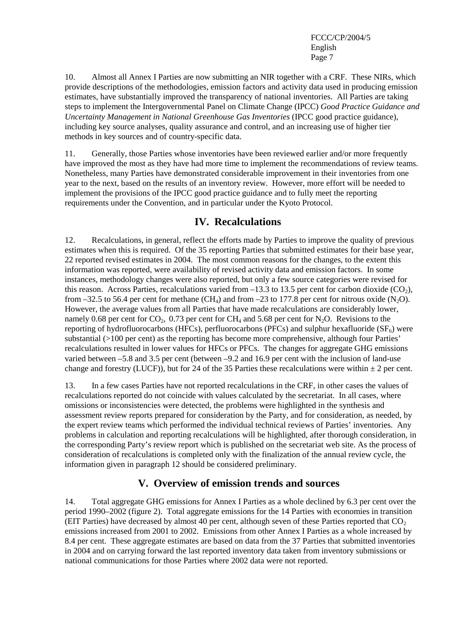10. Almost all Annex I Parties are now submitting an NIR together with a CRF. These NIRs, which provide descriptions of the methodologies, emission factors and activity data used in producing emission estimates, have substantially improved the transparency of national inventories. All Parties are taking steps to implement the Intergovernmental Panel on Climate Change (IPCC) *Good Practice Guidance and Uncertainty Management in National Greenhouse Gas Inventories* (IPCC good practice guidance), including key source analyses, quality assurance and control, and an increasing use of higher tier methods in key sources and of country-specific data.

11. Generally, those Parties whose inventories have been reviewed earlier and/or more frequently have improved the most as they have had more time to implement the recommendations of review teams. Nonetheless, many Parties have demonstrated considerable improvement in their inventories from one year to the next, based on the results of an inventory review. However, more effort will be needed to implement the provisions of the IPCC good practice guidance and to fully meet the reporting requirements under the Convention, and in particular under the Kyoto Protocol.

## **IV. Recalculations**

12. Recalculations, in general, reflect the efforts made by Parties to improve the quality of previous estimates when this is required. Of the 35 reporting Parties that submitted estimates for their base year, 22 reported revised estimates in 2004. The most common reasons for the changes, to the extent this information was reported, were availability of revised activity data and emission factors. In some instances, methodology changes were also reported, but only a few source categories were revised for this reason. Across Parties, recalculations varied from  $-13.3$  to 13.5 per cent for carbon dioxide (CO<sub>2</sub>), from –32.5 to 56.4 per cent for methane (CH<sub>4</sub>) and from –23 to 177.8 per cent for nitrous oxide (N<sub>2</sub>O). However, the average values from all Parties that have made recalculations are considerably lower, namely 0.68 per cent for  $CO_2$ , 0.73 per cent for  $CH_4$  and 5.68 per cent for N<sub>2</sub>O. Revisions to the reporting of hydrofluorocarbons (HFCs), perfluorocarbons (PFCs) and sulphur hexafluoride ( $SF<sub>6</sub>$ ) were substantial (>100 per cent) as the reporting has become more comprehensive, although four Parties' recalculations resulted in lower values for HFCs or PFCs. The changes for aggregate GHG emissions varied between –5.8 and 3.5 per cent (between –9.2 and 16.9 per cent with the inclusion of land-use change and forestry (LUCF)), but for 24 of the 35 Parties these recalculations were within  $\pm 2$  per cent.

13. In a few cases Parties have not reported recalculations in the CRF, in other cases the values of recalculations reported do not coincide with values calculated by the secretariat. In all cases, where omissions or inconsistencies were detected, the problems were highlighted in the synthesis and assessment review reports prepared for consideration by the Party, and for consideration, as needed, by the expert review teams which performed the individual technical reviews of Parties' inventories. Any problems in calculation and reporting recalculations will be highlighted, after thorough consideration, in the corresponding Party's review report which is published on the secretariat web site. As the process of consideration of recalculations is completed only with the finalization of the annual review cycle, the information given in paragraph 12 should be considered preliminary.

# **V. Overview of emission trends and sources**

14. Total aggregate GHG emissions for Annex I Parties as a whole declined by 6.3 per cent over the period 1990–2002 (figure 2). Total aggregate emissions for the 14 Parties with economies in transition (EIT Parties) have decreased by almost 40 per cent, although seven of these Parties reported that  $CO<sub>2</sub>$ emissions increased from 2001 to 2002. Emissions from other Annex I Parties as a whole increased by 8.4 per cent. These aggregate estimates are based on data from the 37 Parties that submitted inventories in 2004 and on carrying forward the last reported inventory data taken from inventory submissions or national communications for those Parties where 2002 data were not reported.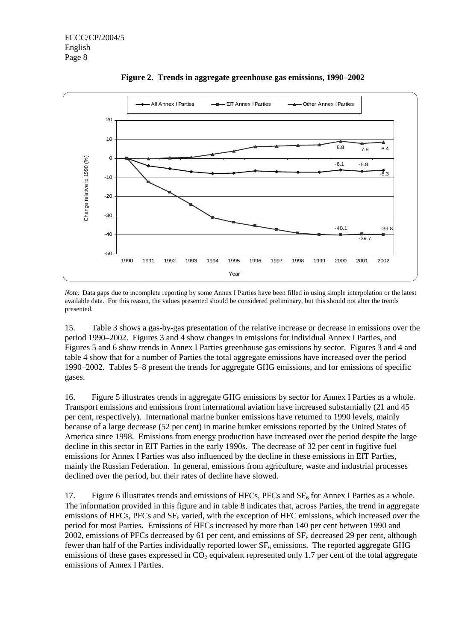

**Figure 2. Trends in aggregate greenhouse gas emissions, 1990–2002** 

*Note:* Data gaps due to incomplete reporting by some Annex I Parties have been filled in using simple interpolation or the latest available data. For this reason, the values presented should be considered preliminary, but this should not alter the trends presented.

15. Table 3 shows a gas-by-gas presentation of the relative increase or decrease in emissions over the period 1990–2002. Figures 3 and 4 show changes in emissions for individual Annex I Parties, and Figures 5 and 6 show trends in Annex I Parties greenhouse gas emissions by sector. Figures 3 and 4 and table 4 show that for a number of Parties the total aggregate emissions have increased over the period 1990–2002. Tables 5–8 present the trends for aggregate GHG emissions, and for emissions of specific gases.

16. Figure 5 illustrates trends in aggregate GHG emissions by sector for Annex I Parties as a whole. Transport emissions and emissions from international aviation have increased substantially (21 and 45 per cent, respectively). International marine bunker emissions have returned to 1990 levels, mainly because of a large decrease (52 per cent) in marine bunker emissions reported by the United States of America since 1998. Emissions from energy production have increased over the period despite the large decline in this sector in EIT Parties in the early 1990s. The decrease of 32 per cent in fugitive fuel emissions for Annex I Parties was also influenced by the decline in these emissions in EIT Parties, mainly the Russian Federation. In general, emissions from agriculture, waste and industrial processes declined over the period, but their rates of decline have slowed.

17. Figure 6 illustrates trends and emissions of HFCs, PFCs and  $SF<sub>6</sub>$  for Annex I Parties as a whole. The information provided in this figure and in table 8 indicates that, across Parties, the trend in aggregate emissions of HFCs, PFCs and SF<sub>6</sub> varied, with the exception of HFC emissions, which increased over the period for most Parties. Emissions of HFCs increased by more than 140 per cent between 1990 and 2002, emissions of PFCs decreased by 61 per cent, and emissions of  $SF<sub>6</sub>$  decreased 29 per cent, although fewer than half of the Parties individually reported lower  $SF_6$  emissions. The reported aggregate GHG emissions of these gases expressed in  $CO<sub>2</sub>$  equivalent represented only 1.7 per cent of the total aggregate emissions of Annex I Parties.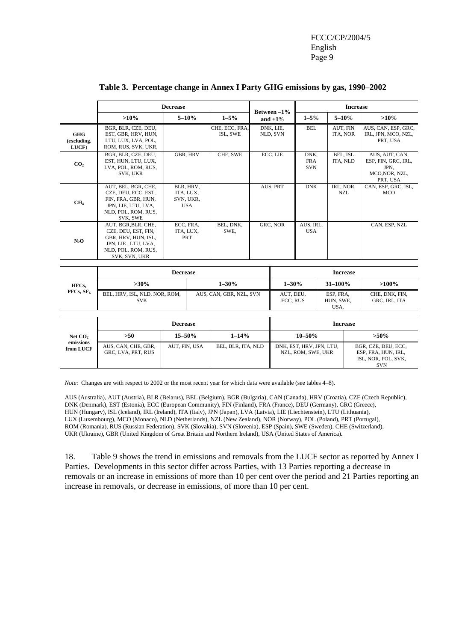|                                    |                                                                                                                                  | <b>Decrease</b> |                                                   |                            |          |                           |                                                |                                | <b>Increase</b>      |                                                                                 |
|------------------------------------|----------------------------------------------------------------------------------------------------------------------------------|-----------------|---------------------------------------------------|----------------------------|----------|---------------------------|------------------------------------------------|--------------------------------|----------------------|---------------------------------------------------------------------------------|
|                                    | $>10\%$                                                                                                                          |                 | $5 - 10%$                                         | $1 - 5\%$                  |          | Between -1%<br>and $+1\%$ | $1 - 5\%$                                      |                                | $5 - 10%$            | $>10\%$                                                                         |
| <b>GHG</b><br>(excluding.<br>LUCF) | BGR, BLR, CZE, DEU,<br>EST, GBR, HRV, HUN,<br>LTU, LUX, LVA, POL,<br>ROM, RUS, SVK, UKR,                                         |                 |                                                   | CHE, ECC, FRA,<br>ISL, SWE |          | DNK, LIE,<br>NLD, SVN     | <b>BEL</b>                                     | ITA, NOR                       | AUT. FIN             | AUS, CAN, ESP, GRC,<br>IRL, JPN, MCO, NZL,<br>PRT, USA                          |
| CO <sub>2</sub>                    | BGR, BLR, CZE, DEU,<br>EST, HUN, LTU, LUX,<br>LVA, POL, ROM, RUS,<br>SVK, UKR                                                    |                 | <b>GBR, HRV</b>                                   | CHE, SWE                   |          | ECC, LIE                  | DNK,<br><b>FRA</b><br><b>SVN</b>               |                                | BEL, ISL<br>ITA, NLD | AUS, AUT, CAN,<br>ESP, FIN, GRC, IRL,<br>JPN.<br>MCO, NOR, NZL,<br>PRT, USA     |
| CH <sub>4</sub>                    | AUT, BEL, BGR, CHE,<br>CZE, DEU, ECC, EST,<br>FIN, FRA, GBR, HUN,<br>JPN, LIE, LTU, LVA,<br>NLD, POL, ROM, RUS,<br>SVK, SWE      |                 | BLR, HRV,<br>ITA, LUX,<br>SVN, UKR,<br><b>USA</b> |                            |          | AUS, PRT                  | <b>DNK</b>                                     |                                | IRL, NOR,<br>NZL     | CAN, ESP, GRC, ISL,<br><b>MCO</b>                                               |
| $N_2O$                             | AUT, BGR, BLR, CHE,<br>CZE, DEU, EST, FIN,<br>GBR, HRV, HUN, ISL,<br>JPN, LIE, LTU, LVA,<br>NLD, POL, ROM, RUS,<br>SVK, SVN, UKR |                 | ECC, FRA,<br>ITA, LUX,<br>PRT                     | BEL, DNK,<br>SWE,          | GRC, NOR |                           | AUS, IRL,<br><b>USA</b>                        |                                |                      | CAN, ESP, NZL                                                                   |
|                                    |                                                                                                                                  | <b>Decrease</b> |                                                   |                            |          |                           |                                                |                                | <b>Increase</b>      |                                                                                 |
| HFCs,                              | $>30\%$                                                                                                                          |                 |                                                   | $1 - 30%$                  |          | $1 - 30\%$                |                                                | 31-100%                        |                      | $>100\%$                                                                        |
| PFCs, SF <sub>6</sub>              | BEL, HRV, ISL, NLD, NOR, ROM,<br><b>SVK</b>                                                                                      |                 |                                                   | AUS, CAN, GBR, NZL, SVN    |          | AUT, DEU,<br>ECC, RUS     |                                                | ESP, FRA,<br>HUN, SWE,<br>USA, |                      | CHE, DNK, FIN,<br>GRC, IRL, ITA                                                 |
|                                    |                                                                                                                                  | <b>Decrease</b> |                                                   |                            |          |                           |                                                |                                | <b>Increase</b>      |                                                                                 |
| Net $CO2$                          | $>50$                                                                                                                            | $15 - 50%$      |                                                   | $1 - 14%$                  |          |                           | $10 - 50%$                                     |                                |                      | $>50\%$                                                                         |
| emissions<br>from LUCF             | AUS, CAN, CHE, GBR,<br>GRC, LVA, PRT, RUS                                                                                        |                 | AUT, FIN, USA                                     | BEL, BLR, ITA, NLD         |          |                           | DNK, EST, HRV, JPN, LTU,<br>NZL, ROM, SWE, UKR |                                |                      | BGR, CZE, DEU, ECC,<br>ESP, FRA, HUN, IRL,<br>ISL, NOR, POL, SVK,<br><b>SVN</b> |

#### **Table 3. Percentage change in Annex I Party GHG emissions by gas, 1990–2002**

*Note*: Changes are with respect to 2002 or the most recent year for which data were available (see tables 4–8).

AUS (Australia), AUT (Austria), BLR (Belarus), BEL (Belgium), BGR (Bulgaria), CAN (Canada), HRV (Croatia), CZE (Czech Republic), DNK (Denmark), EST (Estonia), ECC (European Community), FIN (Finland), FRA (France), DEU (Germany), GRC (Greece), HUN (Hungary), ISL (Iceland), IRL (Ireland), ITA (Italy), JPN (Japan), LVA (Latvia), LIE (Liechtenstein), LTU (Lithuania), LUX (Luxembourg), MCO (Monaco), NLD (Netherlands), NZL (New Zealand), NOR (Norway), POL (Poland), PRT (Portugal), ROM (Romania), RUS (Russian Federation), SVK (Slovakia), SVN (Slovenia), ESP (Spain), SWE (Sweden), CHE (Switzerland), UKR (Ukraine), GBR (United Kingdom of Great Britain and Northern Ireland), USA (United States of America).

18. Table 9 shows the trend in emissions and removals from the LUCF sector as reported by Annex I Parties. Developments in this sector differ across Parties, with 13 Parties reporting a decrease in removals or an increase in emissions of more than 10 per cent over the period and 21 Parties reporting an increase in removals, or decrease in emissions, of more than 10 per cent.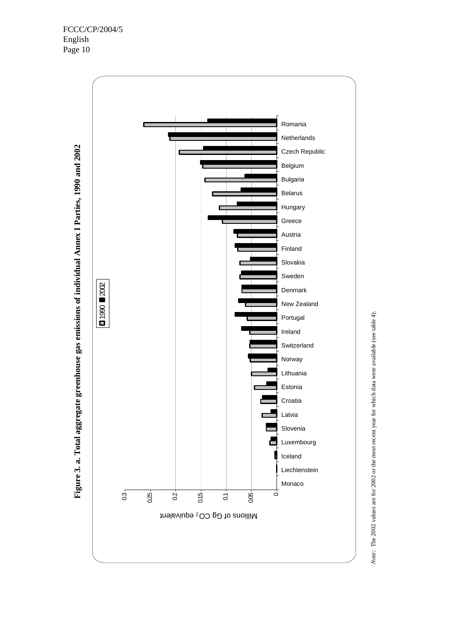

Note: The 2002 values are for 2002 or the most recent year for which data were available (see table 4). *Note:* The 2002 values are for 2002 or the most recent year for which data were available (see table 4).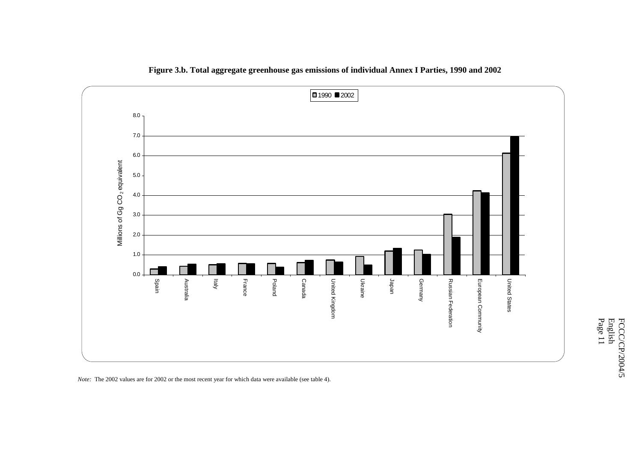

**Figure 3.b. Total aggregate greenhouse gas emissions of individual Annex I Parties, 1990 and 2002** 

*Note:* The 2002 values are for 2002 or the most recent year for which data were available (see table 4).

Page 11 English FCCC/CP/2004/5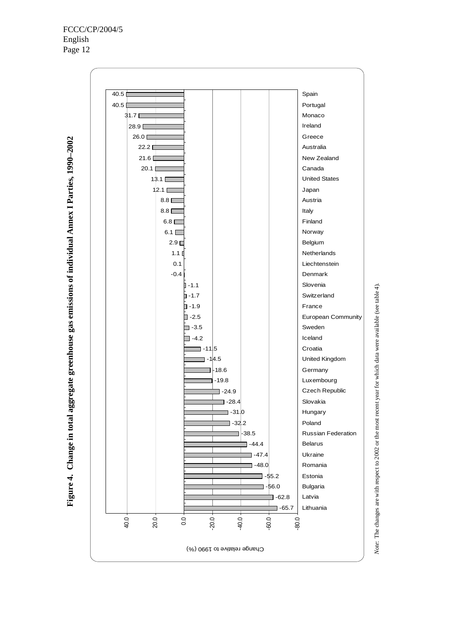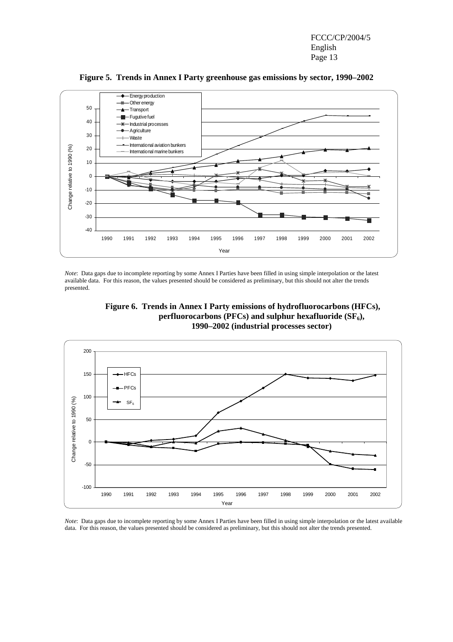

**Figure 5. Trends in Annex I Party greenhouse gas emissions by sector, 1990–2002**

*Note*: Data gaps due to incomplete reporting by some Annex I Parties have been filled in using simple interpolation or the latest available data. For this reason, the values presented should be considered as preliminary, but this should not alter the trends presented.





*Note*: Data gaps due to incomplete reporting by some Annex I Parties have been filled in using simple interpolation or the latest available data. For this reason, the values presented should be considered as preliminary, but this should not alter the trends presented.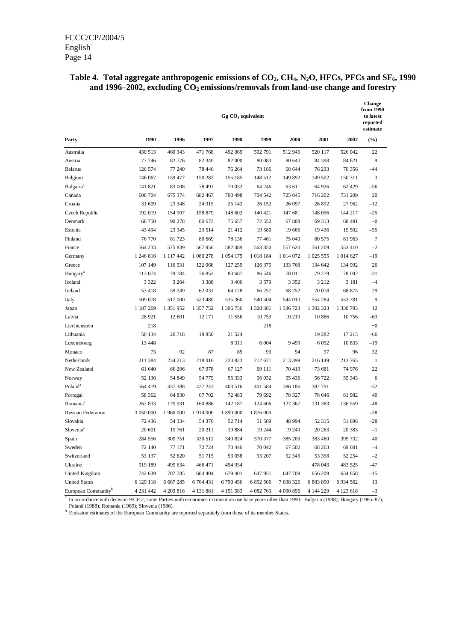|                                 | $Gg CO2$ equivalent |           |             |               |           |               |           |             |                 |  |
|---------------------------------|---------------------|-----------|-------------|---------------|-----------|---------------|-----------|-------------|-----------------|--|
| Party                           | 1990                | 1996      | 1997        | 1998          | 1999      | 2000          | 2001      | 2002        | (%)             |  |
| Australia                       | 430 513             | 460 343   | 471 768     | 492 069       | 502 791   | 512 946       | 520 117   | 526 042     | 22              |  |
| Austria                         | 77 746              | 82 776    | 82 340      | 82 000        | 80 0 83   | 80 640        | 84 398    | 84 621      | 9               |  |
| <b>Belarus</b>                  | 126 574             | 77 240    | 78 4 4 6    | 76 264        | 73 186    | 68 644        | 76 233    | 70 356      | $-44$           |  |
| Belgium                         | 146 067             | 159 477   | 150 282     | 155 185       | 148 512   | 149 892       | 149 502   | 150 311     | 3               |  |
| Bulgaria <sup>a</sup>           | 141 821             | 83 008    | 78 491      | 70 032        | 64 24 6   | 63 611        | 64 926    | 62 429      | $-56$           |  |
| Canada                          | 608 704             | 675 374   | 682 467     | 700 498       | 704 542   | 725 045       | 716 202   | 731 209     | 20              |  |
| Croatia                         | 31 609              | 23 348    | 24 915      | 25 142        | 26 152    | 26 097        | 26 892    | 27 962      | $-12$           |  |
| Czech Republic                  | 192019              | 154 907   | 158 879     | 148 602       | 140 421   | 147 681       | 148 056   | 144 217     | $-25$           |  |
| Denmark                         | 68 750              | 90 278    | 80 673      | 75 657        | 72 552    | 67808         | 69 313    | 68 491      | $\sim 0$        |  |
| Estonia                         | 43 494              | 23 345    | 23 5 14     | 21 412        | 19 580    | 19 666        | 19 4 36   | 19 502      | $-55$           |  |
| Finland                         | 76 770              | 81723     | 80 669      | 78 136        | 77 461    | 75 040        | 80 575    | 81 963      | $7\phantom{.0}$ |  |
| France                          | 564 233             | 575 839   | 567956      | 582 089       | 563 850   | 557 620       | 561 209   | 553 410     | $-2$            |  |
| Germany                         | 1 246 816           | 1 117 442 | 1 080 278   | 1 0 5 4 1 7 5 | 1018 184  | 1 0 1 4 0 7 2 | 1 025 555 | 1 0 14 6 27 | $-19$           |  |
| Greece                          | 107 149             | 116 531   | 122 066     | 127 259       | 126 375   | 133 768       | 134 642   | 134 992     | 26              |  |
| Hungary <sup>a</sup>            | 113 074             | 79 184    | 76853       | 83 687        | 86 546    | 78 011        | 79 279    | 78 002      | $-31$           |  |
| Iceland                         | 3 3 2 2             | 3 2 0 4   | 3 3 8 8     | 3 4 0 6       | 3 5 7 9   | 3 3 5 2       | 3 2 1 2   | 3 1 8 1     | $-4$            |  |
| Ireland                         | 53 418              | 59 249    | 62 031      | 64 128        | 66 257    | 68 25 2       | 70 018    | 68 875      | 29              |  |
| Italy                           | 509 078             | 517 000   | 523 480     | 535 360       | 540 504   | 544 010       | 554 284   | 553 781     | 9               |  |
| Japan                           | 1 187 269           | 1 351 952 | 1 357 752   | 1 306 736     | 1 328 381 | 1 336 723     | 1 302 323 | 1 330 793   | 12              |  |
| Latvia                          | 28 9 21             | 12 601    | 12 17 1     | 11 556        | 10753     | 10 219        | 10 866    | 10756       | $-63$           |  |
| Liechtenstein                   | 218                 |           |             |               | 218       |               |           |             | $\sim 0$        |  |
| Lithuania                       | 50 134              | 20718     | 19 850      | 21 5 24       |           |               | 19 282    | 17 215      | $-66$           |  |
| Luxembourg                      | 13 4 48             |           |             | 8311          | 6 0 0 4   | 9499          | 6 0 5 2   | 10833       | $-19$           |  |
| Monaco                          | 73                  | 92        | 87          | 85            | 93        | 94            | 97        | 96          | 32              |  |
| Netherlands                     | 211 384             | 234 213   | 218 016     | 223 823       | 212 671   | 213 399       | 216 149   | 213 765     | $\mathbf{1}$    |  |
| New Zealand                     | 61 640              | 66 206    | 67978       | 67 127        | 69 111    | 70419         | 73 681    | 74 976      | 22              |  |
| Norway                          | 52 136              | 54 849    | 54 779      | 55 333        | 56 032    | 55 4 36       | 56 722    | 55 343      | 6               |  |
| Poland <sup>a</sup>             | 564 419             | 437 388   | 427 243     | 403 516       | 401 584   | 386 186       | 382 791   |             | $-32$           |  |
| Portugal                        | 58 362              | 64 830    | 67 702      | 72 483        | 79 692    | 78 327        | 78 646    | 81 982      | 40              |  |
| Romania <sup>a</sup>            | 262 833             | 179 931   | 160 886     | 142 187       | 124 606   | 127 367       | 131 383   | 136 559     | $-48$           |  |
| <b>Russian Federation</b>       | 3 050 000           | 1 960 000 | 1914000     | 1 890 000     | 1876000   |               |           |             | $-38$           |  |
| Slovakia                        | 72 436              | 54 334    | 54 370      | 52 714        | 51 589    | 48 994        | 52 315    | 51896       | $-28$           |  |
| Slovenia <sup>a</sup>           | 20 601              | 19761     | 20 211      | 19884         | 19 244    | 19 240        | 20 26 3   | 20 3 8 3    | $-1$            |  |
| Spain                           | 284 556             | 309 751   | 330 512     | 340 824       | 370 377   | 385 203       | 383 460   | 399 732     | 40              |  |
| Sweden                          | 72 140              | 77 171    | 72 724      | 73 446        | 70 042    | 67 502        | 68 263    | 69 601      | $-4$            |  |
| Switzerland                     | 53 137              | 52 620    | 51 715      | 53 058        | 53 207    | 52 345        | 53 358    | 52 254      | $-2$            |  |
| Ukraine                         | 919 189             | 499 634   | 466 471     | 454 934       |           |               | 478 043   | 483 525     | $-47$           |  |
| <b>United Kingdom</b>           | 742 639             | 707 785   | 684 404     | 679 401       | 647 951   | 647 709       | 656 209   | 634 858     | $-15$           |  |
| <b>United States</b>            | 6 129 118           | 6 687 285 | 6 7 64 4 31 | 6790456       | 6 852 506 | 7 038 326     | 6 883 890 | 6 9 34 5 62 | 13              |  |
| European Community <sup>b</sup> | 4 2 3 1 4 4 2       | 4 203 816 | 4 131 881   | 4 151 583     | 4 082 763 | 4 090 896     | 4 144 229 | 4 123 618   | $-3$            |  |
|                                 |                     |           |             |               |           |               |           |             |                 |  |

### Table 4. Total aggregate anthropogenic emissions of CO<sub>2</sub>, CH<sub>4</sub>, N<sub>2</sub>O, HFCs, PFCs and SF<sub>6</sub>, 1990 and 1996–2002, excluding  $CO<sub>2</sub>$  emissions/removals from land-use change and forestry

 $a<sup>a</sup>$  In accordance with decision 9/CP.2, some Parties with economies in transition use base years other than 1990: Bulgaria (1988); Hungary (1985–87); Poland (1988); Romania (1989); Slovenia (1986).<br><sup>b</sup> Emission estimates of the European Community are reported separately from those of its member States.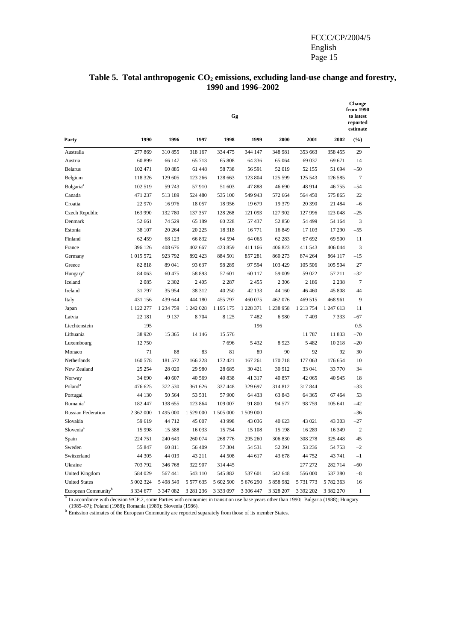|                                 | from 1990<br>Gg |           |           |             |           |            |           |               |              |  |
|---------------------------------|-----------------|-----------|-----------|-------------|-----------|------------|-----------|---------------|--------------|--|
| Party                           | 1990            | 1996      | 1997      | 1998        | 1999      | 2000       | 2001      | 2002          | $(\%)$       |  |
| Australia                       | 277 869         | 310855    | 318 167   | 334 475     | 344 147   | 348 981    | 353 663   | 358 455       | 29           |  |
| Austria                         | 60 899          | 66 147    | 65 713    | 65 808      | 64 3 36   | 65 064     | 69 037    | 69 671        | 14           |  |
| Belarus                         | 102 471         | 60 885    | 61 448    | 58738       | 56 591    | 52 019     | 52 155    | 51 694        | $-50$        |  |
| Belgium                         | 118 326         | 129 605   | 123 266   | 128 663     | 123 804   | 125 599    | 125 543   | 126 585       | $\tau$       |  |
| Bulgaria <sup>a</sup>           | 102 519         | 59 743    | 57910     | 51 603      | 47888     | 46 690     | 48 914    | 46 755        | $-54$        |  |
| Canada                          | 471 237         | 513 189   | 524 480   | 535 100     | 549 943   | 572 664    | 564 450   | 575 865       | 22           |  |
| Croatia                         | 22 970          | 16 976    | 18 057    | 18 956      | 19 679    | 19 379     | 20 390    | 21 4 8 4      | $-6$         |  |
| Czech Republic                  | 163 990         | 132 780   | 137 357   | 128 268     | 121 093   | 127 902    | 127 996   | 123 048       | $-25$        |  |
| Denmark                         | 52 661          | 74 5 29   | 65 189    | 60 228      | 57 437    | 52 850     | 54 499    | 54 164        | 3            |  |
| Estonia                         | 38 107          | 20 264    | 20 225    | 18318       | 16771     | 16 849     | 17 103    | 17 290        | $-55$        |  |
| Finland                         | 62 459          | 68 123    | 66 832    | 64 5 94     | 64 065    | 62 283     | 67 692    | 69 500        | 11           |  |
| France                          | 396 126         | 408 676   | 402 667   | 423 859     | 411 166   | 406 823    | 411 543   | 406 044       | 3            |  |
| Germany                         | 1 015 572       | 923 792   | 892 423   | 884 501     | 857 281   | 860 273    | 874 264   | 864 117       | $-15$        |  |
| Greece                          | 82 818          | 89 041    | 93 637    | 98 28 9     | 97 594    | 103 429    | 105 506   | 105 504       | 27           |  |
| Hungary <sup>a</sup>            | 84 063          | 60 475    | 58 893    | 57 601      | 60 117    | 59 009     | 59 022    | 57 211        | $-32$        |  |
| Iceland                         | 2085            | 2 3 0 2   | 2 4 0 5   | 2 2 8 7     | 2455      | 2 3 0 6    | 2 1 8 6   | 2 2 3 8       | $\tau$       |  |
| Ireland                         | 31 797          | 35 954    | 38 312    | 40 250      | 42 133    | 44 160     | 46 460    | 45 808        | 44           |  |
| Italy                           | 431 156         | 439 644   | 444 180   | 455 797     | 460 075   | 462 076    | 469 515   | 468 961       | 9            |  |
| Japan                           | 1 122 277       | 1 234 759 | 1 242 028 | 1 195 175   | 1 228 371 | 1 238 958  | 1 213 754 | 1 247 613     | 11           |  |
| Latvia                          | 22 18 1         | 9 1 3 7   | 8704      | 8 1 2 5     | 7482      | 6980       | 7409      | 7 3 3 3       | $-67$        |  |
| Liechtenstein                   | 195             |           |           |             | 196       |            |           |               | 0.5          |  |
| Lithuania                       | 38 9 20         | 15 3 65   | 14 14 6   | 15 576      |           |            | 11 787    | 11 833        | $-70$        |  |
| Luxembourg                      | 12 750          |           |           | 7696        | 5 4 3 2   | 8923       | 5 4 8 2   | 10 218        | $-20$        |  |
| Monaco                          | 71              | 88        | 83        | 81          | 89        | 90         | 92        | 92            | 30           |  |
| Netherlands                     | 160 578         | 181 572   | 166 228   | 172 421     | 167 261   | 170718     | 177 063   | 176 654       | 10           |  |
| New Zealand                     | 25 25 4         | 28 0 20   | 29 980    | 28 685      | 30 4 21   | 30 912     | 33 041    | 33 770        | 34           |  |
| Norway                          | 34 690          | 40 607    | 40 5 69   | 40 838      | 41 317    | 40 857     | 42 065    | 40 945        | 18           |  |
| Poland <sup>a</sup>             | 476 625         | 372 530   | 361 626   | 337 448     | 329 697   | 314 812    | 317844    |               | $-33$        |  |
| Portugal                        | 44 130          | 50 564    | 53 531    | 57 900      | 64 433    | 63 843     | 64 3 65   | 67 4 64       | 53           |  |
| Romania <sup>a</sup>            | 182 447         | 138 655   | 123 864   | 109 007     | 91 800    | 94 577     | 98 759    | 105 641       | $-42$        |  |
| <b>Russian Federation</b>       | 2 362 000       | 1 495 000 | 1 529 000 | 1 505 000   | 1 509 000 |            |           |               | $-36$        |  |
| Slovakia                        | 59 619          | 44 712    | 45 007    | 43 998      | 43 036    | 40 623     | 43 021    | 43 303        | $-27$        |  |
| Slovenia <sup>a</sup>           | 15 9 98         | 15 588    | 16 033    | 15 7 54     | 15 108    | 15 198     | 16 289    | 16 349        | $\mathbf{2}$ |  |
| Spain                           | 224 751         | 240 649   | 260 074   | 268 776     | 295 260   | 306 830    | 308 278   | 325 448       | 45           |  |
| Sweden                          | 55 847          | 60 811    | 56 409    | 57 304      | 54 531    | 52 391     | 53 236    | 54 753        | $-2$         |  |
| Switzerland                     | 44 30 5         | 44 019    | 43 211    | 44 508      | 44 617    | 43 678     | 44 752    | 43 741        | $-1$         |  |
| Ukraine                         | 703 792         | 346 768   | 322 907   | 314 445     |           |            | 277 272   | 282 714       | -60          |  |
| United Kingdom                  | 584 029         | 567 441   | 543 110   | 545 882     | 537 601   | 542 648    | 556 000   | 537 380       | $-8$         |  |
| <b>United States</b>            | 5 002 324       | 5 498 549 | 5 577 635 | 5 602 500   | 5 676 290 | 5 858 982  | 5 731 773 | 5 782 363     | 16           |  |
| European Community <sup>b</sup> | 3 3 3 4 6 7 7   | 3 347 082 | 3 281 236 | 3 3 3 0 9 7 | 3 306 447 | 3 3 28 207 | 3 392 202 | 3 3 8 2 2 7 0 | $\mathbf{1}$ |  |

#### Table 5. Total anthropogenic CO<sub>2</sub> emissions, excluding land-use change and forestry, **1990 and 1996–2002**

 $a<sup>a</sup>$  In accordance with decision 9/CP.2, some Parties with economies in transition use base years other than 1990: Bulgaria (1988); Hungary

(1985–87); Poland (1988); Romania (1989); Slovenia (1986). b Emission estimates of the European Community are reported separately from those of its member States.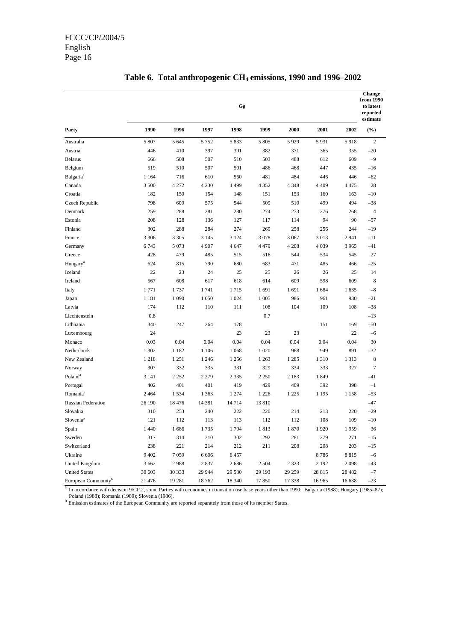|                                 | from 1990<br>Gg |         |         |         |         |         |         |         |                |  |
|---------------------------------|-----------------|---------|---------|---------|---------|---------|---------|---------|----------------|--|
| Party                           | 1990            | 1996    | 1997    | 1998    | 1999    | 2000    | 2001    | 2002    | (%)            |  |
| Australia                       | 5 807           | 5 6 4 5 | 5 7 5 2 | 5 8 3 3 | 5 8 0 5 | 5 9 2 9 | 5931    | 5918    | $\overline{2}$ |  |
| Austria                         | 446             | 410     | 397     | 391     | 382     | 371     | 365     | 355     | $-20$          |  |
| <b>Belarus</b>                  | 666             | 508     | 507     | 510     | 503     | 488     | 612     | 609     | $-9$           |  |
| Belgium                         | 519             | 510     | 507     | 501     | 486     | 468     | 447     | 435     | $-16$          |  |
| <b>Bulgaria</b> <sup>a</sup>    | 1 1 6 4         | 716     | 610     | 560     | 481     | 484     | 446     | 446     | $-62$          |  |
| Canada                          | 3 500           | 4 2 7 2 | 4 2 3 0 | 4 4 9 9 | 4 3 5 2 | 4 3 4 8 | 4 4 0 9 | 4 4 7 5 | 28             |  |
| Croatia                         | 182             | 150     | 154     | 148     | 151     | 153     | 160     | 163     | $-10$          |  |
| Czech Republic                  | 798             | 600     | 575     | 544     | 509     | 510     | 499     | 494     | $-38$          |  |
| Denmark                         | 259             | 288     | 281     | 280     | 274     | 273     | 276     | 268     | $\overline{4}$ |  |
| Estonia                         | 208             | 128     | 136     | 127     | 117     | 114     | 94      | 90      | $-57$          |  |
| Finland                         | 302             | 288     | 284     | 274     | 269     | 258     | 256     | 244     | $-19$          |  |
| France                          | 3 3 0 6         | 3 3 0 5 | 3 1 4 5 | 3 1 2 4 | 3078    | 3 0 6 7 | 3013    | 2 9 4 1 | $-11$          |  |
| Germany                         | 6743            | 5 0 7 3 | 4 9 0 7 | 4 6 4 7 | 4 4 7 9 | 4 2 0 8 | 4 0 3 9 | 3 9 6 5 | $-41$          |  |
| Greece                          | 428             | 479     | 485     | 515     | 516     | 544     | 534     | 545     | 27             |  |
| Hungary <sup>a</sup>            | 624             | 815     | 790     | 680     | 683     | 471     | 485     | 466     | $-25$          |  |
| Iceland                         | 22              | 23      | 24      | 25      | 25      | 26      | 26      | 25      | 14             |  |
| Ireland                         | 567             | 608     | 617     | 618     | 614     | 609     | 598     | 609     | 8              |  |
| Italy                           | 1771            | 1737    | 1741    | 1715    | 1691    | 1691    | 1684    | 1 635   | $-8$           |  |
| Japan                           | 1 1 8 1         | 1 0 9 0 | 1 0 5 0 | 1 0 24  | 1 0 0 5 | 986     | 961     | 930     | $-21$          |  |
| Latvia                          | 174             | 112     | 110     | 111     | 108     | 104     | 109     | 108     | $-38$          |  |
| Liechtenstein                   | 0.8             |         |         |         | 0.7     |         |         |         | $-13$          |  |
| Lithuania                       | 340             | 247     | 264     | 178     |         |         | 151     | 169     | $-50$          |  |
| Luxembourg                      | 24              |         |         | 23      | 23      | 23      |         | 22      | $-6$           |  |
| Monaco                          | 0.03            | 0.04    | 0.04    | 0.04    | 0.04    | 0.04    | 0.04    | 0.04    | 30             |  |
| Netherlands                     | 1 302           | 1 1 8 2 | 1 1 0 6 | 1 0 6 8 | 1 0 20  | 968     | 949     | 891     | $-32$          |  |
| New Zealand                     | 1218            | 1 2 5 1 | 1 2 4 6 | 1 2 5 6 | 1 2 6 3 | 1 2 8 5 | 1 3 1 0 | 1 3 1 3 | 8              |  |
| Norway                          | 307             | 332     | 335     | 331     | 329     | 334     | 333     | 327     | $\overline{7}$ |  |
| Poland <sup>a</sup>             | 3 1 4 1         | 2 2 5 2 | 2 2 7 9 | 2 3 3 5 | 2 2 5 0 | 2 1 8 3 | 1849    |         | $-41$          |  |
| Portugal                        | 402             | 401     | 401     | 419     | 429     | 409     | 392     | 398     | $-1$           |  |
| Romania <sup>a</sup>            | 2 4 6 4         | 1 5 3 4 | 1 3 6 3 | 1 274   | 1 2 2 6 | 1 2 2 5 | 1 1 9 5 | 1 1 5 8 | $-53$          |  |
| <b>Russian Federation</b>       | 26 190          | 18 476  | 14 381  | 14 7 14 | 13810   |         |         |         | $-47$          |  |
| Slovakia                        | 310             | 253     | 240     | 222     | 220     | 214     | 213     | 220     | $-29$          |  |
| Slovenia <sup>a</sup>           | 121             | 112     | 113     | 113     | 112     | 112     | 108     | 109     | $-10$          |  |
| Spain                           | 1 4 4 0         | 1686    | 1735    | 1794    | 1813    | 1870    | 1920    | 1959    | 36             |  |
| Sweden                          | 317             | 314     | 310     | 302     | 292     | 281     | 279     | 271     | $-15$          |  |
| Switzerland                     | 238             | 221     | 214     | 212     | 211     | 208     | 208     | 203     | $-15$          |  |
| Ukraine                         | 9 4 0 2         | 7 0 5 9 | 6 60 6  | 6 4 5 7 |         |         | 8786    | 8815    | $-6$           |  |
| <b>United Kingdom</b>           | 3 6 6 2         | 2988    | 2837    | 2686    | 2 5 0 4 | 2 3 2 3 | 2 1 9 2 | 2098    | $-43$          |  |
| <b>United States</b>            | 30 603          | 30 333  | 29 944  | 29 530  | 29 193  | 29 25 9 | 28 815  | 28 4 82 | $-7$           |  |
| European Community <sup>b</sup> | 21 476          | 19 281  | 18762   | 18 340  | 17850   | 17 338  | 16 965  | 16 638  | $-23$          |  |

## **Table 6. Total anthropogenic CH4 emissions, 1990 and 1996–2002**

<sup>a</sup> In accordance with decision 9/CP.2, some Parties with economies in transition use base years other than 1990: Bulgaria (1988); Hungary (1985–87); Poland (1988); Romania (1989); Slovenia (1986).

b Emission estimates of the European Community are reported separately from those of its member States.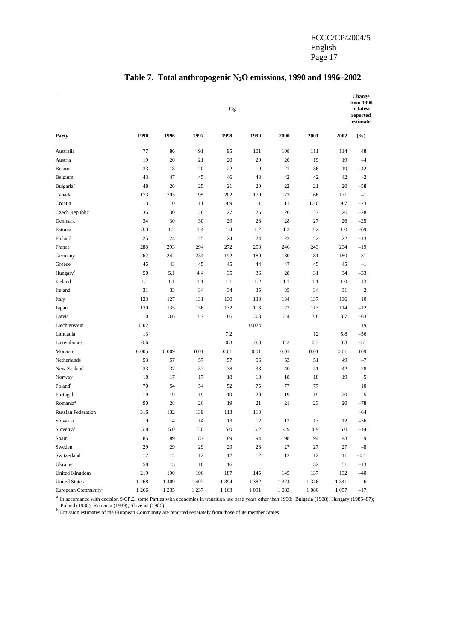|                                 |         |         |         | Gg      |             |         |         |         | Change<br>from 1990<br>to latest<br>reported<br>estimate |
|---------------------------------|---------|---------|---------|---------|-------------|---------|---------|---------|----------------------------------------------------------|
| Party                           | 1990    | 1996    | 1997    | 1998    | 1999        | 2000    | 2001    | 2002    | $(\%)$                                                   |
| Australia                       | 77      | 86      | 91      | 95      | 101         | 108     | 111     | 114     | 48                                                       |
| Austria                         | 19      | 20      | 21      | 20      | 20          | 20      | 19      | 19      | $-4$                                                     |
| <b>Belarus</b>                  | 33      | 18      | 20      | 22      | 19          | 21      | 36      | 19      | $-42$                                                    |
| Belgium                         | 43      | 47      | 45      | 46      | 43          | 42      | 42      | 42      | $-2$                                                     |
| Bulgaria <sup>a</sup>           | 48      | 26      | 25      | 21      | 20          | 22      | 21      | 20      | $-58$                                                    |
| Canada                          | 173     | 203     | 195     | 202     | 179         | 173     | 166     | 171     | $-1$                                                     |
| Croatia                         | 13      | 10      | 11      | 9.9     | 11          | 11      | 10.0    | 9.7     | $-23$                                                    |
| Czech Republic                  | 36      | 30      | 28      | 27      | 26          | 26      | 27      | 26      | $-28$                                                    |
| Denmark                         | 34      | 30      | 30      | 29      | 28          | 28      | 27      | 26      | $-25$                                                    |
| Estonia                         | 3.3     | 1.2     | 1.4     | 1.4     | 1.2         | 1.3     | 1.2     | 1.0     | $-69$                                                    |
| Finland                         | 25      | 24      | 25      | 24      | 24          | 22      | 22      | 22      | $-13$                                                    |
| France                          | 288     | 293     | 294     | 272     | 253         | 246     | 243     | 234     | $-19$                                                    |
| Germany                         | 262     | 242     | 234     | 192     | 180         | 180     | 181     | 180     | $-31$                                                    |
| Greece                          | 46      | 43      | 45      | 45      | 44          | 47      | 45      | 45      | $-1$                                                     |
| Hungary <sup>a</sup>            | 50      | 5.1     | 4.4     | 35      | 36          | 28      | 31      | 34      | $-33$                                                    |
| Iceland                         | 1.1     | 1.1     | 1.1     | 1.1     | 1.2         | 1.1     | 1.1     | 1.0     | $-13$                                                    |
| Ireland                         | 31      | 33      | 34      | 34      | 35          | 35      | 34      | 31      | $\overline{2}$                                           |
| Italy                           | 123     | 127     | 131     | 130     | 133         | 134     | 137     | 136     | 10                                                       |
| Japan                           | 130     | 135     | 136     | 132     | 113         | 122     | 113     | 114     | $-12$                                                    |
| Latvia                          | 10      | 3.6     | 3.7     | 3.6     | 3.3         | 3.4     | 3.8     | 3.7     | $-63$                                                    |
| Liechtenstein                   | 0.02    |         |         |         | 0.024       |         |         |         | 19                                                       |
| Lithuania                       | 13      |         |         | 7.2     |             |         | 12      | 5.8     | $-56$                                                    |
| Luxembourg                      | 0.6     |         |         | 0.3     | 0.3         | 0.3     | 0.3     | 0.3     | $-51$                                                    |
| Monaco                          | 0.005   | 0.009   | 0.01    | 0.01    | 0.01        | 0.01    | 0.01    | 0.01    | 109                                                      |
| Netherlands                     | 53      | 57      | 57      | 57      | 56          | 53      | 51      | 49      | $-7$                                                     |
| New Zealand                     | 33      | 37      | 37      | 38      | 38          | 40      | 41      | 42      | 28                                                       |
| Norway                          | 18      | 17      | 17      | 18      | 18          | 18      | 18      | 19      | 5                                                        |
| Poland <sup>a</sup>             | 70      | 54      | 54      | 52      | 75          | 77      | 77      |         | 10                                                       |
| Portugal                        | 19      | 19      | 19      | 19      | 20          | 19      | 19      | 20      | 5                                                        |
| Romania <sup>a</sup>            | 90      | 28      | 26      | 19      | 21          | 21      | 23      | 20      | $-78$                                                    |
| <b>Russian Federation</b>       | 316     | 132     | 139     | 113     | 113         |         |         |         | $-64$                                                    |
| Slovakia                        | 19      | 14      | 14      | 13      | 12          | 12      | 13      | 12      | $-36$                                                    |
| Slovenia <sup>a</sup>           | 5.8     | 5.0     | 5.0     | 5.0     | 5.2         | 4.9     | 4.9     | 5.0     | $-14$                                                    |
| Spain                           | 85      | 89      | 87      | 89      | 94          | 98      | 94      | 93      | $\overline{9}$                                           |
| Sweden                          | 29      | 29      | 29      | 29      | $\sqrt{28}$ | 27      | 27      | $27\,$  | $^{-8}\,$                                                |
| Switzerland                     | 12      | 12      | $12\,$  | 12      | 12          | 12      | 12      | $11\,$  | $-0.1$                                                   |
| Ukraine                         | 58      | 15      | 16      | 16      |             |         | 52      | 51      | $-13$                                                    |
| <b>United Kingdom</b>           | 219     | 190     | 196     | 187     | 145         | 145     | 137     | 132     | $-40$                                                    |
| <b>United States</b>            | 1 2 6 8 | 1 409   | 1 407   | 1 3 9 4 | 1 3 8 2     | 1 3 7 4 | 1 3 4 6 | 1 3 4 1 | 6                                                        |
| European Community <sup>b</sup> | 1 2 6 6 | 1 2 3 5 | 1 2 3 7 | 1 1 6 3 | 1 0 9 1     | 1083    | 1 0 8 0 | 1 0 5 7 | $-17$                                                    |

## **Table 7. Total anthropogenic N2O emissions, 1990 and 1996–2002**

<sup>a</sup> In accordance with decision 9/CP.2, some Parties with economies in transition use base years other than 1990: Bulgaria (1988); Hungary (1985–87);

Poland (1988); Romania (1989); Slovenia (1986).<br><sup>b</sup> Emission estimates of the European Community are reported separately from those of its member States.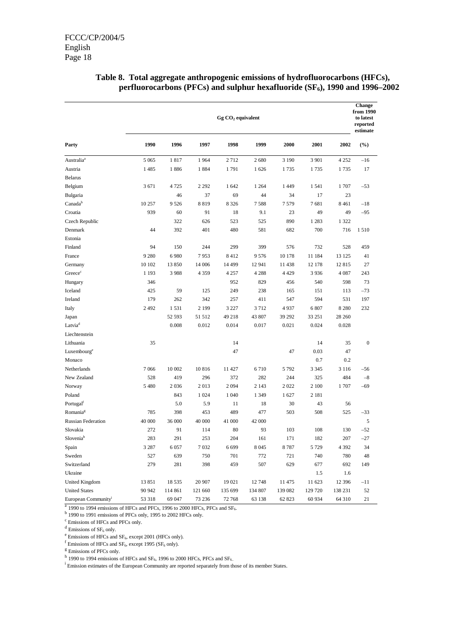|                                 | $Gg CO2$ equivalent |         |         |          |         |         |         |         |                  |  |  |
|---------------------------------|---------------------|---------|---------|----------|---------|---------|---------|---------|------------------|--|--|
| Party                           | 1990                | 1996    | 1997    | 1998     | 1999    | 2000    | 2001    | 2002    | (%)              |  |  |
| Australia <sup>a</sup>          | 5 0 6 5             | 1817    | 1964    | 2712     | 2680    | 3 1 9 0 | 3 9 0 1 | 4 2 5 2 | $-16$            |  |  |
| Austria                         | 1485                | 1886    | 1884    | 1791     | 1626    | 1735    | 1735    | 1735    | 17               |  |  |
| <b>Belarus</b>                  |                     |         |         |          |         |         |         |         |                  |  |  |
| Belgium                         | 3 6 7 1             | 4 7 2 5 | 2 2 9 2 | 1642     | 1 2 6 4 | 1449    | 1541    | 1707    | $-53$            |  |  |
| Bulgaria                        |                     | 46      | 37      | 69       | 44      | 34      | 17      | 23      |                  |  |  |
| Canadab                         | 10 257              | 9 5 2 6 | 8819    | 8 3 2 6  | 7588    | 7579    | 7681    | 8461    | $-18$            |  |  |
| Croatia                         | 939                 | 60      | 91      | 18       | 9.1     | 23      | 49      | 49      | $-95$            |  |  |
| Czech Republic                  |                     | 322     | 626     | 523      | 525     | 890     | 1 2 8 3 | 1 3 2 2 |                  |  |  |
| Denmark                         | 44                  | 392     | 401     | 480      | 581     | 682     | 700     | 716     | 1510             |  |  |
| Estonia                         |                     |         |         |          |         |         |         |         |                  |  |  |
| Finland                         | 94                  | 150     | 244     | 299      | 399     | 576     | 732     | 528     | 459              |  |  |
| France                          | 9 2 8 0             | 6980    | 7953    | 8412     | 9576    | 10 178  | 11 184  | 13 125  | 41               |  |  |
| Germany                         | 10 10 2             | 13 850  | 14 006  | 14 4 9 9 | 12 941  | 11 438  | 12 178  | 12815   | 27               |  |  |
| Greece <sup>c</sup>             | 1 1 9 3             | 3988    | 4 3 5 9 | 4 2 5 7  | 4 2 8 8 | 4 4 2 9 | 3936    | 4 0 8 7 | 243              |  |  |
| Hungary                         | 346                 |         |         | 952      | 829     | 456     | 540     | 598     | 73               |  |  |
| Iceland                         | 425                 | 59      | 125     | 249      | 238     | 165     | 151     | 113     | $-73$            |  |  |
| Ireland                         | 179                 | 262     | 342     | 257      | 411     | 547     | 594     | 531     | 197              |  |  |
| Italy                           | 2 4 9 2             | 1531    | 2 1 9 9 | 3 2 2 7  | 3712    | 4937    | 6 807   | 8 2 8 0 | 232              |  |  |
| Japan                           |                     | 52 593  | 51 512  | 49 218   | 43 807  | 39 29 2 | 33 251  | 28 260  |                  |  |  |
| Latvia <sup>d</sup>             |                     | 0.008   | 0.012   | 0.014    | 0.017   | 0.021   | 0.024   | 0.028   |                  |  |  |
| Liechtenstein                   |                     |         |         |          |         |         |         |         |                  |  |  |
| Lithuania                       | 35                  |         |         | 14       |         |         | 14      | 35      | $\boldsymbol{0}$ |  |  |
| Luxembourg <sup>e</sup>         |                     |         |         | 47       |         | 47      | 0.03    | 47      |                  |  |  |
| Monaco                          |                     |         |         |          |         |         | 0.7     | 0.2     |                  |  |  |
| Netherlands                     | 7066                | 10 002  | 10816   | 11 427   | 6710    | 5 7 9 2 | 3 3 4 5 | 3 1 1 6 | $-56$            |  |  |
| New Zealand                     | 528                 | 419     | 296     | 372      | 282     | 244     | 325     | 484     | $-8$             |  |  |
| Norway                          | 5 4 8 0             | 2 0 3 6 | 2013    | 2094     | 2 1 4 3 | 2 0 2 2 | 2 100   | 1707    | $-69$            |  |  |
| Poland                          |                     | 843     | 1 0 24  | 1 0 4 0  | 1 3 4 9 | 1627    | 2 1 8 1 |         |                  |  |  |
| Portugal <sup>f</sup>           |                     | 5.0     | 5.9     | 11       | 18      | 30      | 43      | 56      |                  |  |  |
| Romania <sup>g</sup>            | 785                 | 398     | 453     | 489      | 477     | 503     | 508     | 525     | $-33$            |  |  |
| <b>Russian Federation</b>       | 40 000              | 36 000  | 40 000  | 41 000   | 42 000  |         |         |         | 5                |  |  |
| Slovakia                        | 272                 | 91      | 114     | 80       | 93      | 103     | 108     | 130     | $-52$            |  |  |
| Sloveniah                       | 283                 | 291     | 253     | 204      | 161     | 171     | 182     | 207     | $-27$            |  |  |
| Spain                           | 3 2 8 7             | 6 0 5 7 | 7032    | 6 6 9 9  | 8 0 4 5 | 8787    | 5 7 2 9 | 4 3 9 2 | 34               |  |  |
| Sweden                          | 527                 | 639     | 750     | 701      | 772     | 721     | 740     | 780     | 48               |  |  |
| Switzerland                     | 279                 | 281     | 398     | 459      | 507     | 629     | 677     | 692     | 149              |  |  |
| Ukraine                         |                     |         |         |          |         |         | 1.5     | 1.6     |                  |  |  |
| United Kingdom                  | 13851               | 18 5 35 | 20 907  | 19 021   | 12748   | 11 475  | 11 623  | 12 39 6 | $-11$            |  |  |
| <b>United States</b>            | 90 942              | 114 861 | 121 660 | 135 699  | 134 807 | 139 082 | 129 720 | 138 231 | 52               |  |  |
| European Community <sup>i</sup> | 53 318              | 69 047  | 73 236  | 72 768   | 63 138  | 62 823  | 60 934  | 64 310  | 21               |  |  |

### **Table 8. Total aggregate anthropogenic emissions of hydrofluorocarbons (HFCs), perfluorocarbons (PFCs) and sulphur hexafluoride (SF<sub>6</sub>), 1990 and 1996–2002**

 $a$  1990 to 1994 emissions of HFCs and PFCs, 1996 to 2000 HFCs, PFCs and SF $_6$ .

 $b$  1990 to 1991 emissions of PFCs only, 1995 to 2002 HFCs only.

c Emissions of HFCs and PFCs only.

d Emissions of  $SF_6$  only.<br>
e Emissions of HFCs and  $SF_6$ , except 2001 (HFCs only).

 $^{f}$  Emissions of HFCs and SF<sub>6</sub>, except 1995 (SF<sub>6</sub> only).  $^{g}$  Emissions of PFCs only.

h 1990 to 1994 emissions of HFCs and  $SF_6$ , 1996 to 2000 HFCs, PFCs and  $SF_6$ .

<sup>i</sup> Emission estimates of the European Community are reported separately from those of its member States.